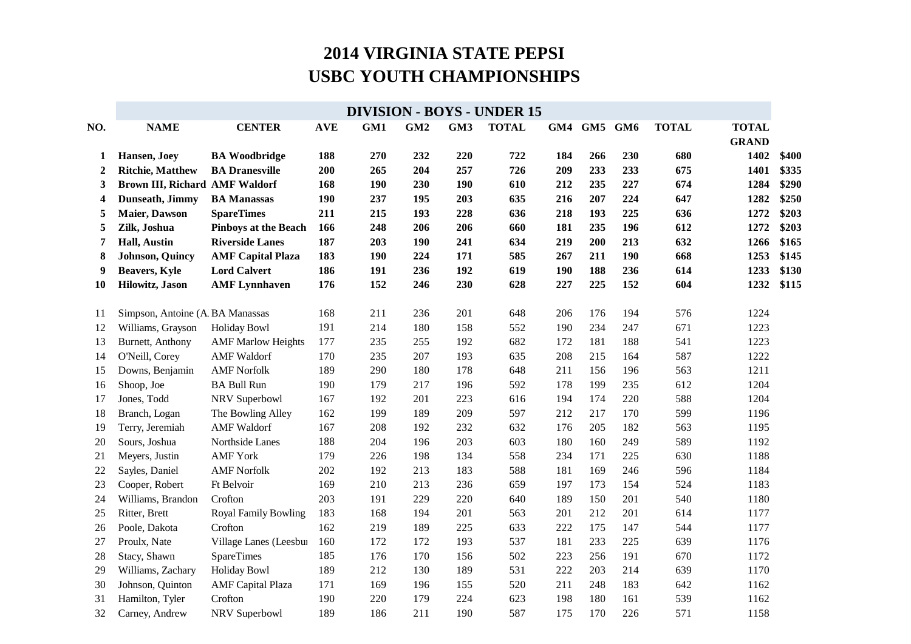| <b>NAME</b>       | <b>CENTER</b>                                                                                                                                                                                                                                                                     | <b>AVE</b>                                                                                                                                                                                                                                                                                                                                                                  | GM1                                                                                                                               | GM <sub>2</sub>                                                                                                     | GM <sub>3</sub>                                                                                                            | <b>TOTAL</b>                                                                                                               | GM4                                                                                                                               | GM5 GM6                                                                                                                    |                                                                                                                                          | <b>TOTAL</b>                                                                                                                      | <b>TOTAL</b>                                                                                                               |                                                                                                                                                                              |
|-------------------|-----------------------------------------------------------------------------------------------------------------------------------------------------------------------------------------------------------------------------------------------------------------------------------|-----------------------------------------------------------------------------------------------------------------------------------------------------------------------------------------------------------------------------------------------------------------------------------------------------------------------------------------------------------------------------|-----------------------------------------------------------------------------------------------------------------------------------|---------------------------------------------------------------------------------------------------------------------|----------------------------------------------------------------------------------------------------------------------------|----------------------------------------------------------------------------------------------------------------------------|-----------------------------------------------------------------------------------------------------------------------------------|----------------------------------------------------------------------------------------------------------------------------|------------------------------------------------------------------------------------------------------------------------------------------|-----------------------------------------------------------------------------------------------------------------------------------|----------------------------------------------------------------------------------------------------------------------------|------------------------------------------------------------------------------------------------------------------------------------------------------------------------------|
|                   |                                                                                                                                                                                                                                                                                   |                                                                                                                                                                                                                                                                                                                                                                             |                                                                                                                                   |                                                                                                                     |                                                                                                                            |                                                                                                                            |                                                                                                                                   |                                                                                                                            |                                                                                                                                          |                                                                                                                                   |                                                                                                                            |                                                                                                                                                                              |
|                   |                                                                                                                                                                                                                                                                                   |                                                                                                                                                                                                                                                                                                                                                                             |                                                                                                                                   |                                                                                                                     |                                                                                                                            |                                                                                                                            |                                                                                                                                   |                                                                                                                            |                                                                                                                                          |                                                                                                                                   |                                                                                                                            | \$400                                                                                                                                                                        |
|                   |                                                                                                                                                                                                                                                                                   |                                                                                                                                                                                                                                                                                                                                                                             |                                                                                                                                   |                                                                                                                     |                                                                                                                            |                                                                                                                            |                                                                                                                                   |                                                                                                                            |                                                                                                                                          |                                                                                                                                   |                                                                                                                            | \$335                                                                                                                                                                        |
|                   |                                                                                                                                                                                                                                                                                   |                                                                                                                                                                                                                                                                                                                                                                             |                                                                                                                                   |                                                                                                                     |                                                                                                                            |                                                                                                                            |                                                                                                                                   |                                                                                                                            |                                                                                                                                          |                                                                                                                                   |                                                                                                                            | \$290                                                                                                                                                                        |
|                   |                                                                                                                                                                                                                                                                                   |                                                                                                                                                                                                                                                                                                                                                                             |                                                                                                                                   |                                                                                                                     |                                                                                                                            |                                                                                                                            |                                                                                                                                   |                                                                                                                            |                                                                                                                                          |                                                                                                                                   |                                                                                                                            | \$250                                                                                                                                                                        |
|                   |                                                                                                                                                                                                                                                                                   |                                                                                                                                                                                                                                                                                                                                                                             |                                                                                                                                   |                                                                                                                     |                                                                                                                            |                                                                                                                            |                                                                                                                                   |                                                                                                                            |                                                                                                                                          |                                                                                                                                   |                                                                                                                            | \$203                                                                                                                                                                        |
|                   |                                                                                                                                                                                                                                                                                   |                                                                                                                                                                                                                                                                                                                                                                             |                                                                                                                                   |                                                                                                                     |                                                                                                                            |                                                                                                                            |                                                                                                                                   |                                                                                                                            |                                                                                                                                          |                                                                                                                                   |                                                                                                                            | \$203<br>\$165                                                                                                                                                               |
|                   |                                                                                                                                                                                                                                                                                   |                                                                                                                                                                                                                                                                                                                                                                             |                                                                                                                                   |                                                                                                                     |                                                                                                                            |                                                                                                                            |                                                                                                                                   |                                                                                                                            |                                                                                                                                          |                                                                                                                                   |                                                                                                                            | \$145                                                                                                                                                                        |
|                   |                                                                                                                                                                                                                                                                                   |                                                                                                                                                                                                                                                                                                                                                                             |                                                                                                                                   |                                                                                                                     |                                                                                                                            |                                                                                                                            |                                                                                                                                   |                                                                                                                            |                                                                                                                                          |                                                                                                                                   |                                                                                                                            | \$130                                                                                                                                                                        |
|                   |                                                                                                                                                                                                                                                                                   |                                                                                                                                                                                                                                                                                                                                                                             |                                                                                                                                   |                                                                                                                     |                                                                                                                            |                                                                                                                            |                                                                                                                                   |                                                                                                                            |                                                                                                                                          |                                                                                                                                   |                                                                                                                            | \$115                                                                                                                                                                        |
|                   |                                                                                                                                                                                                                                                                                   |                                                                                                                                                                                                                                                                                                                                                                             |                                                                                                                                   |                                                                                                                     |                                                                                                                            |                                                                                                                            |                                                                                                                                   |                                                                                                                            |                                                                                                                                          |                                                                                                                                   |                                                                                                                            |                                                                                                                                                                              |
|                   |                                                                                                                                                                                                                                                                                   | 168                                                                                                                                                                                                                                                                                                                                                                         | 211                                                                                                                               | 236                                                                                                                 | 201                                                                                                                        | 648                                                                                                                        | 206                                                                                                                               | 176                                                                                                                        | 194                                                                                                                                      | 576                                                                                                                               | 1224                                                                                                                       |                                                                                                                                                                              |
| Williams, Grayson | <b>Holiday Bowl</b>                                                                                                                                                                                                                                                               | 191                                                                                                                                                                                                                                                                                                                                                                         | 214                                                                                                                               | 180                                                                                                                 | 158                                                                                                                        | 552                                                                                                                        | 190                                                                                                                               | 234                                                                                                                        | 247                                                                                                                                      | 671                                                                                                                               | 1223                                                                                                                       |                                                                                                                                                                              |
| Burnett, Anthony  | <b>AMF Marlow Heights</b>                                                                                                                                                                                                                                                         | 177                                                                                                                                                                                                                                                                                                                                                                         | 235                                                                                                                               | 255                                                                                                                 | 192                                                                                                                        | 682                                                                                                                        | 172                                                                                                                               | 181                                                                                                                        | 188                                                                                                                                      | 541                                                                                                                               | 1223                                                                                                                       |                                                                                                                                                                              |
| O'Neill, Corey    | <b>AMF</b> Waldorf                                                                                                                                                                                                                                                                | 170                                                                                                                                                                                                                                                                                                                                                                         | 235                                                                                                                               | 207                                                                                                                 | 193                                                                                                                        | 635                                                                                                                        | 208                                                                                                                               | 215                                                                                                                        | 164                                                                                                                                      | 587                                                                                                                               | 1222                                                                                                                       |                                                                                                                                                                              |
| Downs, Benjamin   | <b>AMF Norfolk</b>                                                                                                                                                                                                                                                                | 189                                                                                                                                                                                                                                                                                                                                                                         | 290                                                                                                                               | 180                                                                                                                 | 178                                                                                                                        | 648                                                                                                                        | 211                                                                                                                               | 156                                                                                                                        | 196                                                                                                                                      | 563                                                                                                                               | 1211                                                                                                                       |                                                                                                                                                                              |
| Shoop, Joe        | <b>BA Bull Run</b>                                                                                                                                                                                                                                                                | 190                                                                                                                                                                                                                                                                                                                                                                         | 179                                                                                                                               | 217                                                                                                                 | 196                                                                                                                        | 592                                                                                                                        | 178                                                                                                                               | 199                                                                                                                        | 235                                                                                                                                      | 612                                                                                                                               | 1204                                                                                                                       |                                                                                                                                                                              |
| Jones, Todd       | NRV Superbowl                                                                                                                                                                                                                                                                     | 167                                                                                                                                                                                                                                                                                                                                                                         | 192                                                                                                                               | 201                                                                                                                 | 223                                                                                                                        | 616                                                                                                                        | 194                                                                                                                               | 174                                                                                                                        | 220                                                                                                                                      | 588                                                                                                                               | 1204                                                                                                                       |                                                                                                                                                                              |
| Branch, Logan     | The Bowling Alley                                                                                                                                                                                                                                                                 | 162                                                                                                                                                                                                                                                                                                                                                                         | 199                                                                                                                               | 189                                                                                                                 | 209                                                                                                                        | 597                                                                                                                        | 212                                                                                                                               | 217                                                                                                                        | 170                                                                                                                                      | 599                                                                                                                               | 1196                                                                                                                       |                                                                                                                                                                              |
| Terry, Jeremiah   | <b>AMF</b> Waldorf                                                                                                                                                                                                                                                                | 167                                                                                                                                                                                                                                                                                                                                                                         | 208                                                                                                                               | 192                                                                                                                 | 232                                                                                                                        | 632                                                                                                                        | 176                                                                                                                               | 205                                                                                                                        | 182                                                                                                                                      | 563                                                                                                                               | 1195                                                                                                                       |                                                                                                                                                                              |
| Sours, Joshua     | Northside Lanes                                                                                                                                                                                                                                                                   | 188                                                                                                                                                                                                                                                                                                                                                                         | 204                                                                                                                               | 196                                                                                                                 | 203                                                                                                                        | 603                                                                                                                        | 180                                                                                                                               | 160                                                                                                                        | 249                                                                                                                                      | 589                                                                                                                               | 1192                                                                                                                       |                                                                                                                                                                              |
| Meyers, Justin    | <b>AMF York</b>                                                                                                                                                                                                                                                                   | 179                                                                                                                                                                                                                                                                                                                                                                         | 226                                                                                                                               | 198                                                                                                                 | 134                                                                                                                        | 558                                                                                                                        | 234                                                                                                                               | 171                                                                                                                        | 225                                                                                                                                      | 630                                                                                                                               | 1188                                                                                                                       |                                                                                                                                                                              |
| Sayles, Daniel    | <b>AMF Norfolk</b>                                                                                                                                                                                                                                                                | 202                                                                                                                                                                                                                                                                                                                                                                         | 192                                                                                                                               | 213                                                                                                                 | 183                                                                                                                        | 588                                                                                                                        | 181                                                                                                                               | 169                                                                                                                        | 246                                                                                                                                      | 596                                                                                                                               | 1184                                                                                                                       |                                                                                                                                                                              |
|                   |                                                                                                                                                                                                                                                                                   |                                                                                                                                                                                                                                                                                                                                                                             |                                                                                                                                   |                                                                                                                     |                                                                                                                            |                                                                                                                            | 197                                                                                                                               |                                                                                                                            | 154                                                                                                                                      |                                                                                                                                   |                                                                                                                            |                                                                                                                                                                              |
| Williams, Brandon |                                                                                                                                                                                                                                                                                   |                                                                                                                                                                                                                                                                                                                                                                             |                                                                                                                                   |                                                                                                                     |                                                                                                                            |                                                                                                                            |                                                                                                                                   |                                                                                                                            |                                                                                                                                          |                                                                                                                                   |                                                                                                                            |                                                                                                                                                                              |
| Ritter, Brett     | <b>Royal Family Bowling</b>                                                                                                                                                                                                                                                       |                                                                                                                                                                                                                                                                                                                                                                             | 168                                                                                                                               |                                                                                                                     |                                                                                                                            |                                                                                                                            |                                                                                                                                   |                                                                                                                            |                                                                                                                                          |                                                                                                                                   |                                                                                                                            |                                                                                                                                                                              |
|                   |                                                                                                                                                                                                                                                                                   |                                                                                                                                                                                                                                                                                                                                                                             |                                                                                                                                   |                                                                                                                     |                                                                                                                            |                                                                                                                            |                                                                                                                                   |                                                                                                                            |                                                                                                                                          |                                                                                                                                   |                                                                                                                            |                                                                                                                                                                              |
| Proulx, Nate      | Village Lanes (Leesbur                                                                                                                                                                                                                                                            |                                                                                                                                                                                                                                                                                                                                                                             |                                                                                                                                   |                                                                                                                     |                                                                                                                            |                                                                                                                            |                                                                                                                                   |                                                                                                                            |                                                                                                                                          |                                                                                                                                   |                                                                                                                            |                                                                                                                                                                              |
|                   |                                                                                                                                                                                                                                                                                   |                                                                                                                                                                                                                                                                                                                                                                             |                                                                                                                                   |                                                                                                                     |                                                                                                                            |                                                                                                                            |                                                                                                                                   |                                                                                                                            |                                                                                                                                          |                                                                                                                                   |                                                                                                                            |                                                                                                                                                                              |
| Williams, Zachary | <b>Holiday Bowl</b>                                                                                                                                                                                                                                                               |                                                                                                                                                                                                                                                                                                                                                                             | 212                                                                                                                               | 130                                                                                                                 | 189                                                                                                                        |                                                                                                                            |                                                                                                                                   |                                                                                                                            |                                                                                                                                          | 639                                                                                                                               |                                                                                                                            |                                                                                                                                                                              |
| Johnson, Quinton  | <b>AMF</b> Capital Plaza                                                                                                                                                                                                                                                          | 171                                                                                                                                                                                                                                                                                                                                                                         | 169                                                                                                                               | 196                                                                                                                 | 155                                                                                                                        | 520                                                                                                                        | 211                                                                                                                               |                                                                                                                            |                                                                                                                                          | 642                                                                                                                               |                                                                                                                            |                                                                                                                                                                              |
|                   | Crofton                                                                                                                                                                                                                                                                           |                                                                                                                                                                                                                                                                                                                                                                             |                                                                                                                                   |                                                                                                                     |                                                                                                                            |                                                                                                                            |                                                                                                                                   |                                                                                                                            |                                                                                                                                          |                                                                                                                                   |                                                                                                                            |                                                                                                                                                                              |
|                   |                                                                                                                                                                                                                                                                                   |                                                                                                                                                                                                                                                                                                                                                                             |                                                                                                                                   |                                                                                                                     |                                                                                                                            |                                                                                                                            |                                                                                                                                   |                                                                                                                            |                                                                                                                                          |                                                                                                                                   |                                                                                                                            |                                                                                                                                                                              |
|                   | Hansen, Joey<br><b>Ritchie, Matthew</b><br>Dunseath, Jimmy<br><b>Maier</b> , Dawson<br>Zilk, Joshua<br>Hall, Austin<br><b>Johnson</b> , Quincy<br><b>Beavers, Kyle</b><br>Hilowitz, Jason<br>Cooper, Robert<br>Poole, Dakota<br>Stacy, Shawn<br>Hamilton, Tyler<br>Carney, Andrew | <b>BA Woodbridge</b><br><b>BA Dranesville</b><br><b>Brown III, Richard AMF Waldorf</b><br><b>BA Manassas</b><br><b>SpareTimes</b><br><b>Pinboys at the Beach</b><br><b>Riverside Lanes</b><br><b>AMF Capital Plaza</b><br><b>Lord Calvert</b><br><b>AMF</b> Lynnhaven<br>Simpson, Antoine (A.BA Manassas<br>Ft Belvoir<br>Crofton<br>Crofton<br>SpareTimes<br>NRV Superbowl | 188<br>200<br>168<br>190<br>211<br>166<br>187<br>183<br>186<br>176<br>169<br>203<br>183<br>162<br>160<br>185<br>189<br>190<br>189 | 270<br>265<br>190<br>237<br>215<br>248<br>203<br>190<br>191<br>152<br>210<br>191<br>219<br>172<br>176<br>220<br>186 | 232<br>204<br>230<br>195<br>193<br>206<br>190<br>224<br>236<br>246<br>213<br>229<br>194<br>189<br>172<br>170<br>179<br>211 | 220<br>257<br>190<br>203<br>228<br>206<br>241<br>171<br>192<br>230<br>236<br>220<br>201<br>225<br>193<br>156<br>224<br>190 | 722<br>726<br>610<br>635<br>636<br>660<br>634<br>585<br>619<br>628<br>659<br>640<br>563<br>633<br>537<br>502<br>531<br>623<br>587 | 184<br>209<br>212<br>216<br>218<br>181<br>219<br>267<br>190<br>227<br>189<br>201<br>222<br>181<br>223<br>222<br>198<br>175 | 266<br>233<br>235<br>207<br>193<br>235<br>200<br>211<br>188<br>225<br>173<br>150<br>212<br>175<br>233<br>256<br>203<br>248<br>180<br>170 | 230<br>233<br>227<br>224<br>225<br>196<br>213<br>190<br>236<br>152<br>201<br>201<br>147<br>225<br>191<br>214<br>183<br>161<br>226 | 680<br>675<br>674<br>647<br>636<br>612<br>632<br>668<br>614<br>604<br>524<br>540<br>614<br>544<br>639<br>670<br>539<br>571 | <b>GRAND</b><br>1402<br>1401<br>1284<br>1282<br>1272<br>1272<br>1266<br>1253<br>1233<br>1232<br>1183<br>1180<br>1177<br>1177<br>1176<br>1172<br>1170<br>1162<br>1162<br>1158 |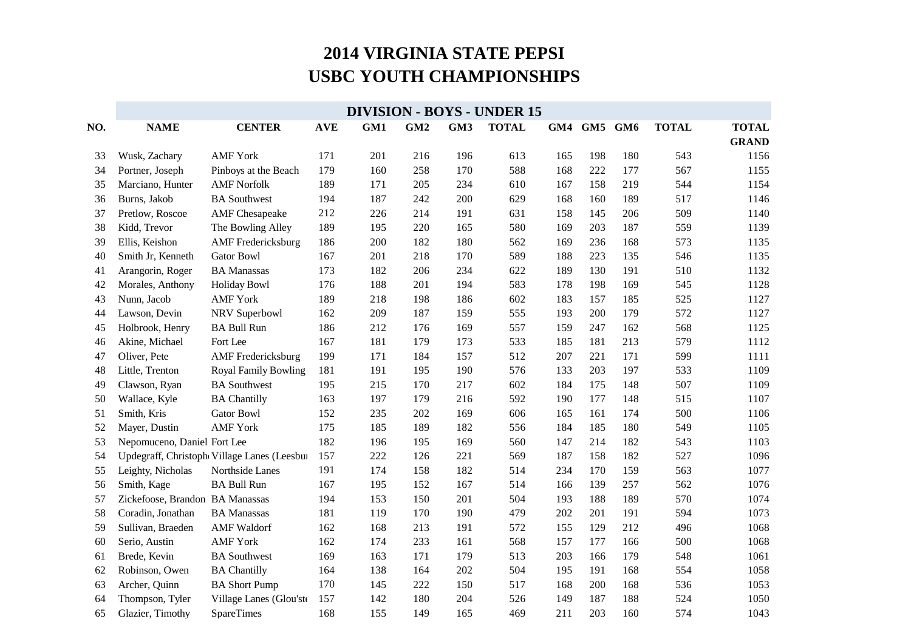|     | <b>DIVISION - BOYS - UNDER 15</b> |                                             |            |     |     |     |              |     |             |     |              |              |
|-----|-----------------------------------|---------------------------------------------|------------|-----|-----|-----|--------------|-----|-------------|-----|--------------|--------------|
| NO. | <b>NAME</b>                       | <b>CENTER</b>                               | <b>AVE</b> | GM1 | GM2 | GM3 | <b>TOTAL</b> |     | GM4 GM5 GM6 |     | <b>TOTAL</b> | <b>TOTAL</b> |
|     |                                   |                                             |            |     |     |     |              |     |             |     |              | <b>GRAND</b> |
| 33  | Wusk, Zachary                     | <b>AMF York</b>                             | 171        | 201 | 216 | 196 | 613          | 165 | 198         | 180 | 543          | 1156         |
| 34  | Portner, Joseph                   | Pinboys at the Beach                        | 179        | 160 | 258 | 170 | 588          | 168 | 222         | 177 | 567          | 1155         |
| 35  | Marciano, Hunter                  | <b>AMF Norfolk</b>                          | 189        | 171 | 205 | 234 | 610          | 167 | 158         | 219 | 544          | 1154         |
| 36  | Burns, Jakob                      | <b>BA</b> Southwest                         | 194        | 187 | 242 | 200 | 629          | 168 | 160         | 189 | 517          | 1146         |
| 37  | Pretlow, Roscoe                   | <b>AMF</b> Chesapeake                       | 212        | 226 | 214 | 191 | 631          | 158 | 145         | 206 | 509          | 1140         |
| 38  | Kidd, Trevor                      | The Bowling Alley                           | 189        | 195 | 220 | 165 | 580          | 169 | 203         | 187 | 559          | 1139         |
| 39  | Ellis, Keishon                    | <b>AMF</b> Fredericksburg                   | 186        | 200 | 182 | 180 | 562          | 169 | 236         | 168 | 573          | 1135         |
| 40  | Smith Jr, Kenneth                 | <b>Gator Bowl</b>                           | 167        | 201 | 218 | 170 | 589          | 188 | 223         | 135 | 546          | 1135         |
| 41  | Arangorin, Roger                  | <b>BA Manassas</b>                          | 173        | 182 | 206 | 234 | 622          | 189 | 130         | 191 | 510          | 1132         |
| 42  | Morales, Anthony                  | <b>Holiday Bowl</b>                         | 176        | 188 | 201 | 194 | 583          | 178 | 198         | 169 | 545          | 1128         |
| 43  | Nunn, Jacob                       | <b>AMF York</b>                             | 189        | 218 | 198 | 186 | 602          | 183 | 157         | 185 | 525          | 1127         |
| 44  | Lawson, Devin                     | NRV Superbowl                               | 162        | 209 | 187 | 159 | 555          | 193 | 200         | 179 | 572          | 1127         |
| 45  | Holbrook, Henry                   | <b>BA Bull Run</b>                          | 186        | 212 | 176 | 169 | 557          | 159 | 247         | 162 | 568          | 1125         |
| 46  | Akine, Michael                    | Fort Lee                                    | 167        | 181 | 179 | 173 | 533          | 185 | 181         | 213 | 579          | 1112         |
| 47  | Oliver, Pete                      | <b>AMF</b> Fredericksburg                   | 199        | 171 | 184 | 157 | 512          | 207 | 221         | 171 | 599          | 1111         |
| 48  | Little, Trenton                   | <b>Royal Family Bowling</b>                 | 181        | 191 | 195 | 190 | 576          | 133 | 203         | 197 | 533          | 1109         |
| 49  | Clawson, Ryan                     | <b>BA</b> Southwest                         | 195        | 215 | 170 | 217 | 602          | 184 | 175         | 148 | 507          | 1109         |
| 50  | Wallace, Kyle                     | <b>BA Chantilly</b>                         | 163        | 197 | 179 | 216 | 592          | 190 | 177         | 148 | 515          | 1107         |
| 51  | Smith, Kris                       | <b>Gator Bowl</b>                           | 152        | 235 | 202 | 169 | 606          | 165 | 161         | 174 | 500          | 1106         |
| 52  | Mayer, Dustin                     | <b>AMF York</b>                             | 175        | 185 | 189 | 182 | 556          | 184 | 185         | 180 | 549          | 1105         |
| 53  | Nepomuceno, Daniel Fort Lee       |                                             | 182        | 196 | 195 | 169 | 560          | 147 | 214         | 182 | 543          | 1103         |
| 54  |                                   | Updegraff, Christoph Village Lanes (Leesbur | 157        | 222 | 126 | 221 | 569          | 187 | 158         | 182 | 527          | 1096         |
| 55  | Leighty, Nicholas                 | Northside Lanes                             | 191        | 174 | 158 | 182 | 514          | 234 | 170         | 159 | 563          | 1077         |
| 56  | Smith, Kage                       | <b>BA Bull Run</b>                          | 167        | 195 | 152 | 167 | 514          | 166 | 139         | 257 | 562          | 1076         |
| 57  | Zickefoose, Brandon BA Manassas   |                                             | 194        | 153 | 150 | 201 | 504          | 193 | 188         | 189 | 570          | 1074         |
| 58  | Coradin, Jonathan                 | <b>BA</b> Manassas                          | 181        | 119 | 170 | 190 | 479          | 202 | 201         | 191 | 594          | 1073         |
| 59  | Sullivan, Braeden                 | <b>AMF</b> Waldorf                          | 162        | 168 | 213 | 191 | 572          | 155 | 129         | 212 | 496          | 1068         |
| 60  | Serio, Austin                     | <b>AMF York</b>                             | 162        | 174 | 233 | 161 | 568          | 157 | 177         | 166 | 500          | 1068         |
| 61  | Brede, Kevin                      | <b>BA Southwest</b>                         | 169        | 163 | 171 | 179 | 513          | 203 | 166         | 179 | 548          | 1061         |
| 62  | Robinson, Owen                    | <b>BA Chantilly</b>                         | 164        | 138 | 164 | 202 | 504          | 195 | 191         | 168 | 554          | 1058         |
| 63  | Archer, Quinn                     | <b>BA Short Pump</b>                        | 170        | 145 | 222 | 150 | 517          | 168 | 200         | 168 | 536          | 1053         |
| 64  | Thompson, Tyler                   | Village Lanes (Glou'ste                     | 157        | 142 | 180 | 204 | 526          | 149 | 187         | 188 | 524          | 1050         |
| 65  | Glazier, Timothy                  | <b>SpareTimes</b>                           | 168        | 155 | 149 | 165 | 469          | 211 | 203         | 160 | 574          | 1043         |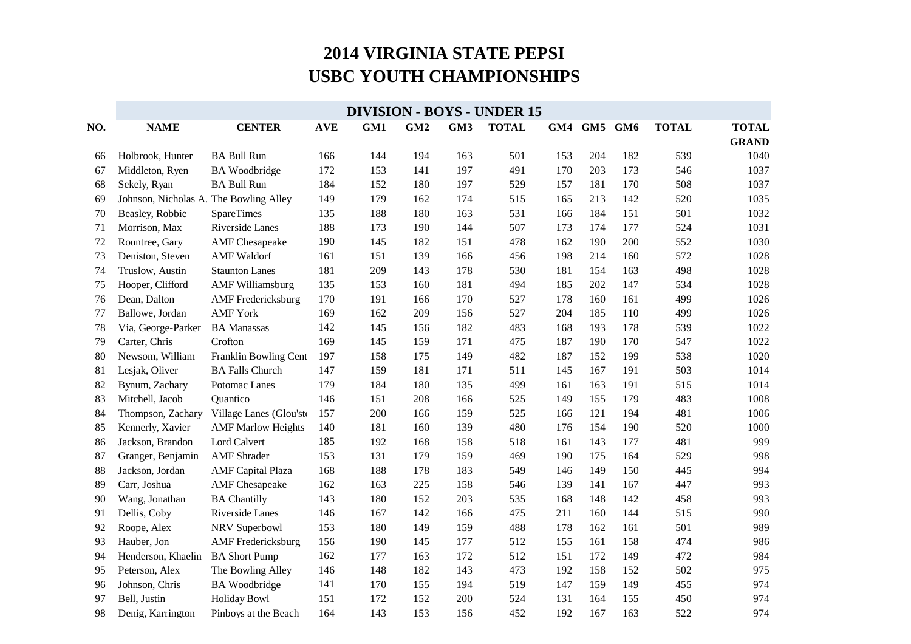|     | <b>DIVISION - BOYS - UNDER 15</b>      |                           |            |     |                 |     |              |     |     |     |              |              |
|-----|----------------------------------------|---------------------------|------------|-----|-----------------|-----|--------------|-----|-----|-----|--------------|--------------|
| NO. | <b>NAME</b>                            | <b>CENTER</b>             | <b>AVE</b> | GM1 | GM <sub>2</sub> | GM3 | <b>TOTAL</b> | GM4 | GM5 | GM6 | <b>TOTAL</b> | <b>TOTAL</b> |
|     |                                        |                           |            |     |                 |     |              |     |     |     |              | <b>GRAND</b> |
| 66  | Holbrook, Hunter                       | <b>BA Bull Run</b>        | 166        | 144 | 194             | 163 | 501          | 153 | 204 | 182 | 539          | 1040         |
| 67  | Middleton, Ryen                        | <b>BA</b> Woodbridge      | 172        | 153 | 141             | 197 | 491          | 170 | 203 | 173 | 546          | 1037         |
| 68  | Sekely, Ryan                           | <b>BA Bull Run</b>        | 184        | 152 | 180             | 197 | 529          | 157 | 181 | 170 | 508          | 1037         |
| 69  | Johnson, Nicholas A. The Bowling Alley |                           | 149        | 179 | 162             | 174 | 515          | 165 | 213 | 142 | 520          | 1035         |
| 70  | Beasley, Robbie                        | <b>SpareTimes</b>         | 135        | 188 | 180             | 163 | 531          | 166 | 184 | 151 | 501          | 1032         |
| 71  | Morrison, Max                          | Riverside Lanes           | 188        | 173 | 190             | 144 | 507          | 173 | 174 | 177 | 524          | 1031         |
| 72  | Rountree, Gary                         | <b>AMF</b> Chesapeake     | 190        | 145 | 182             | 151 | 478          | 162 | 190 | 200 | 552          | 1030         |
| 73  | Deniston, Steven                       | <b>AMF</b> Waldorf        | 161        | 151 | 139             | 166 | 456          | 198 | 214 | 160 | 572          | 1028         |
| 74  | Truslow, Austin                        | <b>Staunton Lanes</b>     | 181        | 209 | 143             | 178 | 530          | 181 | 154 | 163 | 498          | 1028         |
| 75  | Hooper, Clifford                       | <b>AMF Williamsburg</b>   | 135        | 153 | 160             | 181 | 494          | 185 | 202 | 147 | 534          | 1028         |
| 76  | Dean, Dalton                           | <b>AMF</b> Fredericksburg | 170        | 191 | 166             | 170 | 527          | 178 | 160 | 161 | 499          | 1026         |
| 77  | Ballowe, Jordan                        | <b>AMF York</b>           | 169        | 162 | 209             | 156 | 527          | 204 | 185 | 110 | 499          | 1026         |
| 78  | Via, George-Parker                     | <b>BA</b> Manassas        | 142        | 145 | 156             | 182 | 483          | 168 | 193 | 178 | 539          | 1022         |
| 79  | Carter, Chris                          | Crofton                   | 169        | 145 | 159             | 171 | 475          | 187 | 190 | 170 | 547          | 1022         |
| 80  | Newsom, William                        | Franklin Bowling Cent     | 197        | 158 | 175             | 149 | 482          | 187 | 152 | 199 | 538          | 1020         |
| 81  | Lesjak, Oliver                         | <b>BA Falls Church</b>    | 147        | 159 | 181             | 171 | 511          | 145 | 167 | 191 | 503          | 1014         |
| 82  | Bynum, Zachary                         | Potomac Lanes             | 179        | 184 | 180             | 135 | 499          | 161 | 163 | 191 | 515          | 1014         |
| 83  | Mitchell, Jacob                        | Quantico                  | 146        | 151 | 208             | 166 | 525          | 149 | 155 | 179 | 483          | 1008         |
| 84  | Thompson, Zachary                      | Village Lanes (Glou'ste   | 157        | 200 | 166             | 159 | 525          | 166 | 121 | 194 | 481          | 1006         |
| 85  | Kennerly, Xavier                       | <b>AMF Marlow Heights</b> | 140        | 181 | 160             | 139 | 480          | 176 | 154 | 190 | 520          | 1000         |
| 86  | Jackson, Brandon                       | Lord Calvert              | 185        | 192 | 168             | 158 | 518          | 161 | 143 | 177 | 481          | 999          |
| 87  | Granger, Benjamin                      | <b>AMF</b> Shrader        | 153        | 131 | 179             | 159 | 469          | 190 | 175 | 164 | 529          | 998          |
| 88  | Jackson, Jordan                        | <b>AMF</b> Capital Plaza  | 168        | 188 | 178             | 183 | 549          | 146 | 149 | 150 | 445          | 994          |
| 89  | Carr, Joshua                           | <b>AMF</b> Chesapeake     | 162        | 163 | 225             | 158 | 546          | 139 | 141 | 167 | 447          | 993          |
| 90  | Wang, Jonathan                         | <b>BA Chantilly</b>       | 143        | 180 | 152             | 203 | 535          | 168 | 148 | 142 | 458          | 993          |
| 91  | Dellis, Coby                           | Riverside Lanes           | 146        | 167 | 142             | 166 | 475          | 211 | 160 | 144 | 515          | 990          |
| 92  | Roope, Alex                            | NRV Superbowl             | 153        | 180 | 149             | 159 | 488          | 178 | 162 | 161 | 501          | 989          |
| 93  | Hauber, Jon                            | <b>AMF</b> Fredericksburg | 156        | 190 | 145             | 177 | 512          | 155 | 161 | 158 | 474          | 986          |
| 94  | Henderson, Khaelin                     | <b>BA Short Pump</b>      | 162        | 177 | 163             | 172 | 512          | 151 | 172 | 149 | 472          | 984          |
| 95  | Peterson, Alex                         | The Bowling Alley         | 146        | 148 | 182             | 143 | 473          | 192 | 158 | 152 | 502          | 975          |
| 96  | Johnson, Chris                         | <b>BA</b> Woodbridge      | 141        | 170 | 155             | 194 | 519          | 147 | 159 | 149 | 455          | 974          |
| 97  | Bell, Justin                           | <b>Holiday Bowl</b>       | 151        | 172 | 152             | 200 | 524          | 131 | 164 | 155 | 450          | 974          |
| 98  | Denig, Karrington                      | Pinboys at the Beach      | 164        | 143 | 153             | 156 | 452          | 192 | 167 | 163 | 522          | 974          |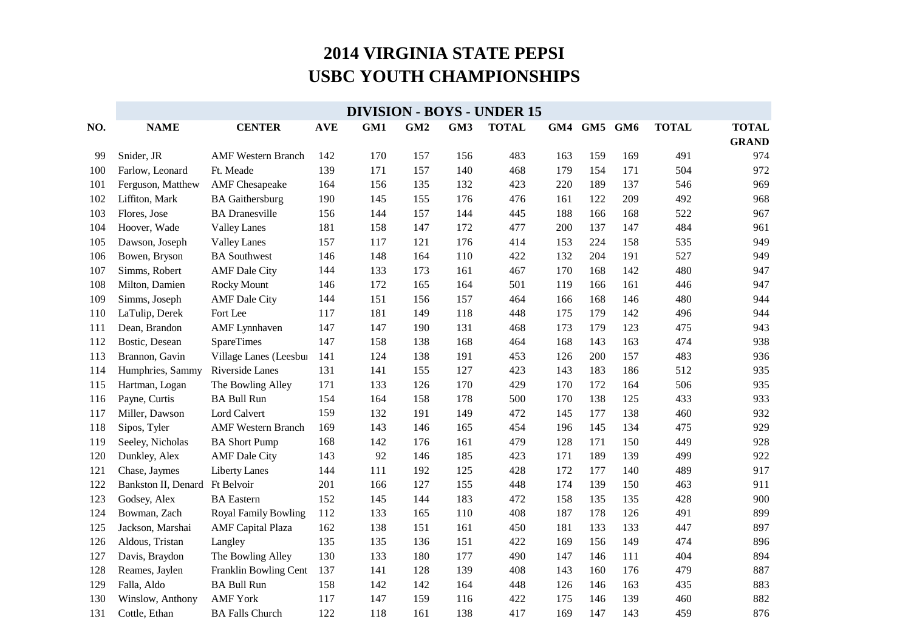|     | <b>DIVISION - BOYS - UNDER 15</b> |                             |            |     |                 |     |              |     |             |     |              |              |
|-----|-----------------------------------|-----------------------------|------------|-----|-----------------|-----|--------------|-----|-------------|-----|--------------|--------------|
| NO. | <b>NAME</b>                       | <b>CENTER</b>               | <b>AVE</b> | GM1 | GM <sub>2</sub> | GM3 | <b>TOTAL</b> |     | GM4 GM5 GM6 |     | <b>TOTAL</b> | <b>TOTAL</b> |
|     |                                   |                             |            |     |                 |     |              |     |             |     |              | <b>GRAND</b> |
| 99  | Snider, JR                        | <b>AMF</b> Western Branch   | 142        | 170 | 157             | 156 | 483          | 163 | 159         | 169 | 491          | 974          |
| 100 | Farlow, Leonard                   | Ft. Meade                   | 139        | 171 | 157             | 140 | 468          | 179 | 154         | 171 | 504          | 972          |
| 101 | Ferguson, Matthew                 | <b>AMF</b> Chesapeake       | 164        | 156 | 135             | 132 | 423          | 220 | 189         | 137 | 546          | 969          |
| 102 | Liffiton, Mark                    | <b>BA</b> Gaithersburg      | 190        | 145 | 155             | 176 | 476          | 161 | 122         | 209 | 492          | 968          |
| 103 | Flores, Jose                      | <b>BA</b> Dranesville       | 156        | 144 | 157             | 144 | 445          | 188 | 166         | 168 | 522          | 967          |
| 104 | Hoover, Wade                      | <b>Valley Lanes</b>         | 181        | 158 | 147             | 172 | 477          | 200 | 137         | 147 | 484          | 961          |
| 105 | Dawson, Joseph                    | <b>Valley Lanes</b>         | 157        | 117 | 121             | 176 | 414          | 153 | 224         | 158 | 535          | 949          |
| 106 | Bowen, Bryson                     | <b>BA</b> Southwest         | 146        | 148 | 164             | 110 | 422          | 132 | 204         | 191 | 527          | 949          |
| 107 | Simms, Robert                     | <b>AMF</b> Dale City        | 144        | 133 | 173             | 161 | 467          | 170 | 168         | 142 | 480          | 947          |
| 108 | Milton, Damien                    | Rocky Mount                 | 146        | 172 | 165             | 164 | 501          | 119 | 166         | 161 | 446          | 947          |
| 109 | Simms, Joseph                     | <b>AMF</b> Dale City        | 144        | 151 | 156             | 157 | 464          | 166 | 168         | 146 | 480          | 944          |
| 110 | LaTulip, Derek                    | Fort Lee                    | 117        | 181 | 149             | 118 | 448          | 175 | 179         | 142 | 496          | 944          |
| 111 | Dean, Brandon                     | <b>AMF</b> Lynnhaven        | 147        | 147 | 190             | 131 | 468          | 173 | 179         | 123 | 475          | 943          |
| 112 | Bostic, Desean                    | <b>SpareTimes</b>           | 147        | 158 | 138             | 168 | 464          | 168 | 143         | 163 | 474          | 938          |
| 113 | Brannon, Gavin                    | Village Lanes (Leesbur      | 141        | 124 | 138             | 191 | 453          | 126 | 200         | 157 | 483          | 936          |
| 114 | Humphries, Sammy                  | Riverside Lanes             | 131        | 141 | 155             | 127 | 423          | 143 | 183         | 186 | 512          | 935          |
| 115 | Hartman, Logan                    | The Bowling Alley           | 171        | 133 | 126             | 170 | 429          | 170 | 172         | 164 | 506          | 935          |
| 116 | Payne, Curtis                     | <b>BA Bull Run</b>          | 154        | 164 | 158             | 178 | 500          | 170 | 138         | 125 | 433          | 933          |
| 117 | Miller, Dawson                    | Lord Calvert                | 159        | 132 | 191             | 149 | 472          | 145 | 177         | 138 | 460          | 932          |
| 118 | Sipos, Tyler                      | <b>AMF Western Branch</b>   | 169        | 143 | 146             | 165 | 454          | 196 | 145         | 134 | 475          | 929          |
| 119 | Seeley, Nicholas                  | <b>BA Short Pump</b>        | 168        | 142 | 176             | 161 | 479          | 128 | 171         | 150 | 449          | 928          |
| 120 | Dunkley, Alex                     | <b>AMF</b> Dale City        | 143        | 92  | 146             | 185 | 423          | 171 | 189         | 139 | 499          | 922          |
| 121 | Chase, Jaymes                     | <b>Liberty Lanes</b>        | 144        | 111 | 192             | 125 | 428          | 172 | 177         | 140 | 489          | 917          |
| 122 | Bankston II, Denard Ft Belvoir    |                             | 201        | 166 | 127             | 155 | 448          | 174 | 139         | 150 | 463          | 911          |
| 123 | Godsey, Alex                      | <b>BA</b> Eastern           | 152        | 145 | 144             | 183 | 472          | 158 | 135         | 135 | 428          | 900          |
| 124 | Bowman, Zach                      | <b>Royal Family Bowling</b> | 112        | 133 | 165             | 110 | 408          | 187 | 178         | 126 | 491          | 899          |
| 125 | Jackson, Marshai                  | <b>AMF</b> Capital Plaza    | 162        | 138 | 151             | 161 | 450          | 181 | 133         | 133 | 447          | 897          |
| 126 | Aldous, Tristan                   | Langley                     | 135        | 135 | 136             | 151 | 422          | 169 | 156         | 149 | 474          | 896          |
| 127 | Davis, Braydon                    | The Bowling Alley           | 130        | 133 | 180             | 177 | 490          | 147 | 146         | 111 | 404          | 894          |
| 128 | Reames, Jaylen                    | Franklin Bowling Cent       | 137        | 141 | 128             | 139 | 408          | 143 | 160         | 176 | 479          | 887          |
| 129 | Falla, Aldo                       | <b>BA Bull Run</b>          | 158        | 142 | 142             | 164 | 448          | 126 | 146         | 163 | 435          | 883          |
| 130 | Winslow, Anthony                  | <b>AMF York</b>             | 117        | 147 | 159             | 116 | 422          | 175 | 146         | 139 | 460          | 882          |
| 131 | Cottle, Ethan                     | <b>BA Falls Church</b>      | 122        | 118 | 161             | 138 | 417          | 169 | 147         | 143 | 459          | 876          |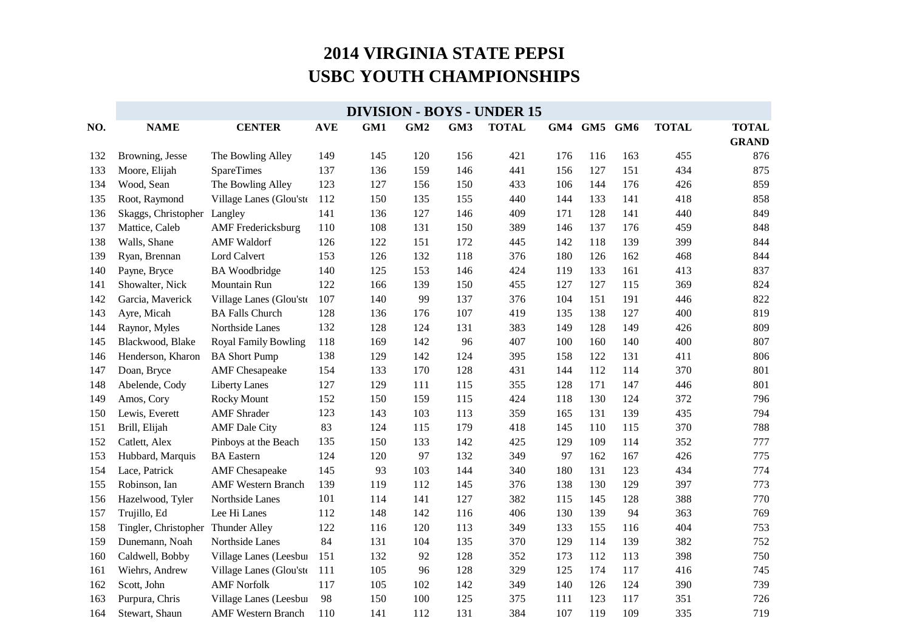|     | <b>DIVISION - BOYS - UNDER 15</b> |                           |            |     |                 |     |              |     |         |     |              |              |
|-----|-----------------------------------|---------------------------|------------|-----|-----------------|-----|--------------|-----|---------|-----|--------------|--------------|
| NO. | <b>NAME</b>                       | <b>CENTER</b>             | <b>AVE</b> | GM1 | GM <sub>2</sub> | GM3 | <b>TOTAL</b> | GM4 | GM5 GM6 |     | <b>TOTAL</b> | <b>TOTAL</b> |
|     |                                   |                           |            |     |                 |     |              |     |         |     |              | <b>GRAND</b> |
| 132 | Browning, Jesse                   | The Bowling Alley         | 149        | 145 | 120             | 156 | 421          | 176 | 116     | 163 | 455          | 876          |
| 133 | Moore, Elijah                     | SpareTimes                | 137        | 136 | 159             | 146 | 441          | 156 | 127     | 151 | 434          | 875          |
| 134 | Wood, Sean                        | The Bowling Alley         | 123        | 127 | 156             | 150 | 433          | 106 | 144     | 176 | 426          | 859          |
| 135 | Root, Raymond                     | Village Lanes (Glou'ste   | 112        | 150 | 135             | 155 | 440          | 144 | 133     | 141 | 418          | 858          |
| 136 | Skaggs, Christopher               | Langley                   | 141        | 136 | 127             | 146 | 409          | 171 | 128     | 141 | 440          | 849          |
| 137 | Mattice, Caleb                    | <b>AMF</b> Fredericksburg | 110        | 108 | 131             | 150 | 389          | 146 | 137     | 176 | 459          | 848          |
| 138 | Walls, Shane                      | <b>AMF</b> Waldorf        | 126        | 122 | 151             | 172 | 445          | 142 | 118     | 139 | 399          | 844          |
| 139 | Ryan, Brennan                     | Lord Calvert              | 153        | 126 | 132             | 118 | 376          | 180 | 126     | 162 | 468          | 844          |
| 140 | Payne, Bryce                      | <b>BA</b> Woodbridge      | 140        | 125 | 153             | 146 | 424          | 119 | 133     | 161 | 413          | 837          |
| 141 | Showalter, Nick                   | Mountain Run              | 122        | 166 | 139             | 150 | 455          | 127 | 127     | 115 | 369          | 824          |
| 142 | Garcia, Maverick                  | Village Lanes (Glou'ste   | 107        | 140 | 99              | 137 | 376          | 104 | 151     | 191 | 446          | 822          |
| 143 | Ayre, Micah                       | <b>BA Falls Church</b>    | 128        | 136 | 176             | 107 | 419          | 135 | 138     | 127 | 400          | 819          |
| 144 | Raynor, Myles                     | Northside Lanes           | 132        | 128 | 124             | 131 | 383          | 149 | 128     | 149 | 426          | 809          |
| 145 | Blackwood, Blake                  | Royal Family Bowling      | 118        | 169 | 142             | 96  | 407          | 100 | 160     | 140 | 400          | 807          |
| 146 | Henderson, Kharon                 | <b>BA Short Pump</b>      | 138        | 129 | 142             | 124 | 395          | 158 | 122     | 131 | 411          | 806          |
| 147 | Doan, Bryce                       | <b>AMF</b> Chesapeake     | 154        | 133 | 170             | 128 | 431          | 144 | 112     | 114 | 370          | 801          |
| 148 | Abelende, Cody                    | <b>Liberty Lanes</b>      | 127        | 129 | 111             | 115 | 355          | 128 | 171     | 147 | 446          | 801          |
| 149 | Amos, Cory                        | <b>Rocky Mount</b>        | 152        | 150 | 159             | 115 | 424          | 118 | 130     | 124 | 372          | 796          |
| 150 | Lewis, Everett                    | <b>AMF</b> Shrader        | 123        | 143 | 103             | 113 | 359          | 165 | 131     | 139 | 435          | 794          |
| 151 | Brill, Elijah                     | <b>AMF</b> Dale City      | 83         | 124 | 115             | 179 | 418          | 145 | 110     | 115 | 370          | 788          |
| 152 | Catlett, Alex                     | Pinboys at the Beach      | 135        | 150 | 133             | 142 | 425          | 129 | 109     | 114 | 352          | 777          |
| 153 | Hubbard, Marquis                  | <b>BA</b> Eastern         | 124        | 120 | 97              | 132 | 349          | 97  | 162     | 167 | 426          | 775          |
| 154 | Lace, Patrick                     | <b>AMF</b> Chesapeake     | 145        | 93  | 103             | 144 | 340          | 180 | 131     | 123 | 434          | 774          |
| 155 | Robinson, Ian                     | <b>AMF Western Branch</b> | 139        | 119 | 112             | 145 | 376          | 138 | 130     | 129 | 397          | 773          |
| 156 | Hazelwood, Tyler                  | Northside Lanes           | 101        | 114 | 141             | 127 | 382          | 115 | 145     | 128 | 388          | 770          |
| 157 | Trujillo, Ed                      | Lee Hi Lanes              | 112        | 148 | 142             | 116 | 406          | 130 | 139     | 94  | 363          | 769          |
| 158 | Tingler, Christopher              | Thunder Alley             | 122        | 116 | 120             | 113 | 349          | 133 | 155     | 116 | 404          | 753          |
| 159 | Dunemann, Noah                    | Northside Lanes           | 84         | 131 | 104             | 135 | 370          | 129 | 114     | 139 | 382          | 752          |
| 160 | Caldwell, Bobby                   | Village Lanes (Leesbur    | 151        | 132 | 92              | 128 | 352          | 173 | 112     | 113 | 398          | 750          |
| 161 | Wiehrs, Andrew                    | Village Lanes (Glou'ste   | 111        | 105 | 96              | 128 | 329          | 125 | 174     | 117 | 416          | 745          |
| 162 | Scott, John                       | <b>AMF Norfolk</b>        | 117        | 105 | 102             | 142 | 349          | 140 | 126     | 124 | 390          | 739          |
| 163 | Purpura, Chris                    | Village Lanes (Leesbur    | 98         | 150 | 100             | 125 | 375          | 111 | 123     | 117 | 351          | 726          |
| 164 | Stewart, Shaun                    | <b>AMF Western Branch</b> | 110        | 141 | 112             | 131 | 384          | 107 | 119     | 109 | 335          | 719          |